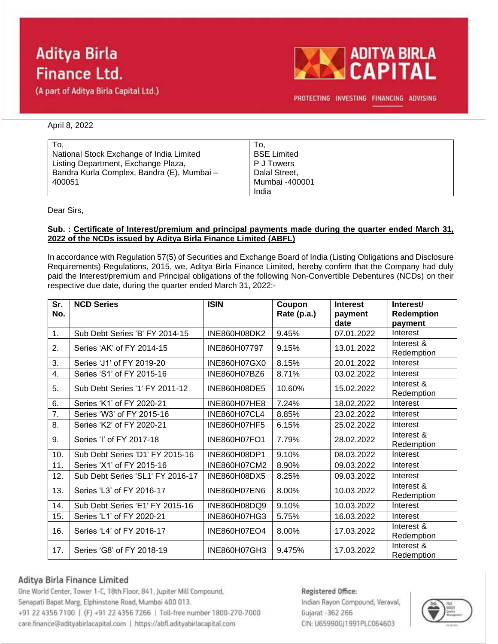# **Aditya Birla Finance Ltd.**

(A part of Aditya Birla Capital Ltd.)



PROTECTING INVESTING FINANCING ADVISING

### April 8, 2022

| To.                                        | To.                |
|--------------------------------------------|--------------------|
| National Stock Exchange of India Limited   | <b>BSE Limited</b> |
| Listing Department, Exchange Plaza,        | P J Towers         |
| Bandra Kurla Complex, Bandra (E), Mumbai - | Dalal Street,      |
| 400051                                     | Mumbai -400001     |
|                                            | India              |

Dear Sirs,

### **Sub. : Certificate of Interest/premium and principal payments made during the quarter ended March 31, 2022 of the NCDs issued by Aditya Birla Finance Limited (ABFL)**

In accordance with Regulation 57(5) of Securities and Exchange Board of India (Listing Obligations and Disclosure Requirements) Regulations, 2015, we, Aditya Birla Finance Limited, hereby confirm that the Company had duly paid the Interest/premium and Principal obligations of the following Non-Convertible Debentures (NCDs) on their respective due date, during the quarter ended March 31, 2022:-

| Sr.<br>No.     | <b>NCD Series</b>                | <b>ISIN</b>         | Coupon<br>Rate (p.a.) | <b>Interest</b><br>payment<br>date | Interest/<br>Redemption<br>payment |
|----------------|----------------------------------|---------------------|-----------------------|------------------------------------|------------------------------------|
| $\mathbf{1}$ . | Sub Debt Series 'B' FY 2014-15   | INE860H08DK2        | 9.45%                 | 07.01.2022                         | Interest                           |
| 2.             | Series 'AK' of FY 2014-15        | INE860H07797        | 9.15%                 | 13.01.2022                         | Interest &<br>Redemption           |
| 3.             | Series 'J1' of FY 2019-20        | INE860H07GX0        | 8.15%                 | 20.01.2022                         | Interest                           |
| 4.             | Series 'S1' of FY 2015-16        | INE860H07BZ6        | 8.71%                 | 03.02.2022                         | Interest                           |
| 5.             | Sub Debt Series '1' FY 2011-12   | INE860H08DE5        | 10.60%                | 15.02.2022                         | Interest &<br>Redemption           |
| 6.             | Series 'K1' of FY 2020-21        | <b>INE860H07HE8</b> | 7.24%                 | 18.02.2022                         | Interest                           |
| 7.             | Series 'W3' of FY 2015-16        | INE860H07CL4        | 8.85%                 | 23.02.2022                         | Interest                           |
| 8.             | Series 'K2' of FY 2020-21        | <b>INE860H07HF5</b> | 6.15%                 | 25.02.2022                         | Interest                           |
| 9.             | Series 'I' of FY 2017-18         | <b>INE860H07FO1</b> | 7.79%                 | 28.02.2022                         | Interest &<br>Redemption           |
| 10.            | Sub Debt Series 'D1' FY 2015-16  | INE860H08DP1        | 9.10%                 | 08.03.2022                         | Interest                           |
| 11.            | Series 'X1' of FY 2015-16        | INE860H07CM2        | 8.90%                 | 09.03.2022                         | Interest                           |
| 12.            | Sub Debt Series 'SL1' FY 2016-17 | INE860H08DX5        | 8.25%                 | 09.03.2022                         | Interest                           |
| 13.            | Series 'L3' of FY 2016-17        | <b>INE860H07EN6</b> | 8.00%                 | 10.03.2022                         | Interest &<br>Redemption           |
| 14.            | Sub Debt Series 'E1' FY 2015-16  | INE860H08DQ9        | 9.10%                 | 10.03.2022                         | Interest                           |
| 15.            | Series 'L1' of FY 2020-21        | INE860H07HG3        | 5.75%                 | 16.03.2022                         | Interest                           |
| 16.            | Series 'L4' of FY 2016-17        | INE860H07EO4        | 8.00%                 | 17.03.2022                         | Interest &<br>Redemption           |
| 17.            | Series 'G8' of FY 2018-19        | INE860H07GH3        | 9.475%                | 17.03.2022                         | Interest &<br>Redemption           |

## Aditya Birla Finance Limited

One World Center, Tower 1-C, 18th Floor, 841, Jupiter Mill Compound, Senapati Bapat Marg, Elphinstone Road, Mumbai 400 013. +91 22 4356 7100 | (F) +91 22 4356 7266 | Toll-free number 1800-270-7000 care.finance@adityabirlacapital.com | https://abfl.adityabirlacapital.com

### Registered Office:

Indian Rayon Compound, Veraval, Gujarat - 362 266 CIN: U65990GJ1991PLC064603